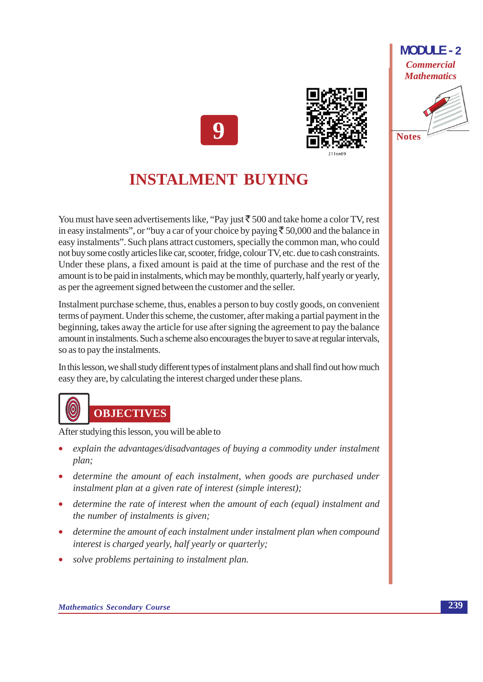



## **INSTALMENT BUYING**

You must have seen advertisements like, "Pay just  $\bar{5}500$  and take home a color TV, rest in easy instalments", or "buy a car of your choice by paying  $\bar{\xi}$  50,000 and the balance in easy instalments". Such plans attract customers, specially the common man, who could not buy some costly articles like car, scooter, fridge, colour TV, etc. due to cash constraints. Under these plans, a fixed amount is paid at the time of purchase and the rest of the amount is to be paid in instalments, which may be monthly, quarterly, half yearly or yearly, as per the agreement signed between the customer and the seller.

Instalment purchase scheme, thus, enables a person to buy costly goods, on convenient terms of payment. Under this scheme, the customer, after making a partial payment in the beginning, takes away the article for use after signing the agreement to pay the balance amount in instalments. Such a scheme also encourages the buyer to save at regular intervals, so as to pay the instalments.

In this lesson, we shall study different types of instalment plans and shall find out how much easy they are, by calculating the interest charged under these plans.

# **OBJECTIVES**

After studying this lesson, you will be able to

- explain the advantages/disadvantages of buying a commodity under instalment plan:
- determine the amount of each instalment, when goods are purchased under instalment plan at a given rate of interest (simple interest);
- determine the rate of interest when the amount of each (equal) instalment and the number of instalments is given;
- determine the amount of each instalment under instalment plan when compound interest is charged yearly, half yearly or quarterly;
- solve problems pertaining to instalment plan.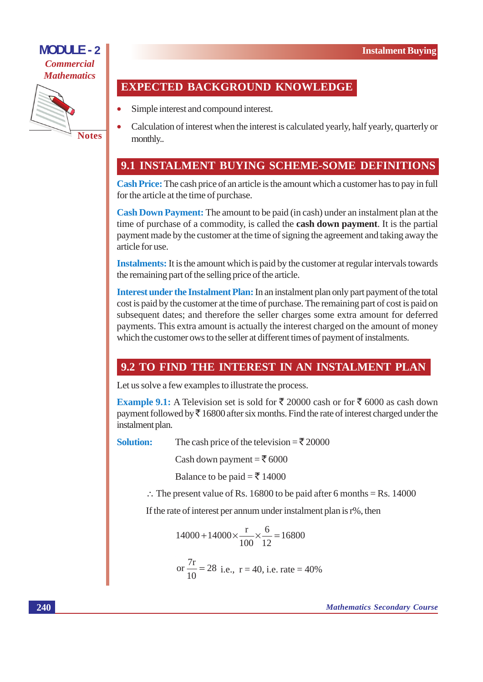

#### **EXPECTED BACKGROUND KNOWLEDGE**

- Simple interest and compound interest.
- Calculation of interest when the interest is calculated yearly, half yearly, quarterly or monthly...

#### 9.1 INSTALMENT BUYING SCHEME-SOME DEFINITIONS

Cash Price: The cash price of an article is the amount which a customer has to pay in full for the article at the time of purchase.

**Cash Down Payment:** The amount to be paid (in cash) under an instalment plan at the time of purchase of a commodity, is called the **cash down payment**. It is the partial payment made by the customer at the time of signing the agreement and taking away the article for use.

**Instalments:** It is the amount which is paid by the customer at regular intervals towards the remaining part of the selling price of the article.

Interest under the Instalment Plan: In an instalment plan only part payment of the total cost is paid by the customer at the time of purchase. The remaining part of cost is paid on subsequent dates; and therefore the seller charges some extra amount for deferred payments. This extra amount is actually the interest charged on the amount of money which the customer ows to the seller at different times of payment of instalments.

#### 9.2 TO FIND THE INTEREST IN AN INSTALMENT PLAN

Let us solve a few examples to illustrate the process.

**Example 9.1:** A Television set is sold for ₹ 20000 cash or for ₹ 6000 as cash down payment followed by  $\bar{\tau}$  16800 after six months. Find the rate of interest charged under the instalment plan.

Solution: The cash price of the television =  $\overline{\xi}$  20000

Cash down payment =  $\bar{\mathcal{F}}$  6000

Balance to be paid =  $\overline{5}$  14000

 $\therefore$  The present value of Rs. 16800 to be paid after 6 months = Rs. 14000

If the rate of interest per annum under instalment plan is r%, then

$$
14000 + 14000 \times \frac{r}{100} \times \frac{6}{12} = 16800
$$
  
or  $\frac{7r}{10} = 28$  i.e., r = 40, i.e. rate = 40%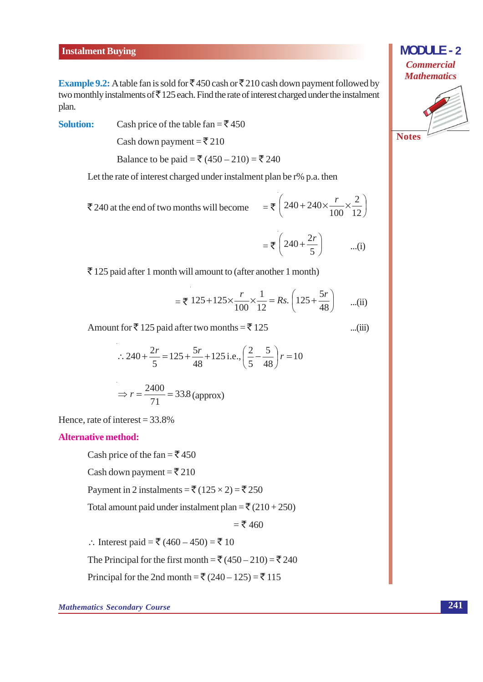#### **Instalment Buying**

**Example 9.2:** A table fan is sold for  $\bar{\mathcal{F}}$  450 cash or  $\bar{\mathcal{F}}$  210 cash down payment followed by two monthly instalments of  $\bar{\tau}$  125 each. Find the rate of interest charged under the instalment plan.

Cash price of the table fan =  $\overline{5}$  450 **Solution:** 

Cash down payment =  $\overline{\xi}$  210

Balance to be paid = ₹ (450 – 210) = ₹ 240

Let the rate of interest charged under instalment plan be r% p.a. then

 $=\sqrt[3]{240+240\times\frac{r}{100}\times\frac{2}{12}}$ ₹ 240 at the end of two months will become

$$
= \overline{\overline{\tau}} \left( 240 + \frac{2r}{5} \right) \qquad ...(i)
$$

 $\ldots$ (iii)

 $\bar{\tau}$  125 paid after 1 month will amount to (after another 1 month)

$$
=
$$
  $\sqrt{125+125} \times \frac{r}{100} \times \frac{1}{12} = Rs. \left(125 + \frac{5r}{48}\right)$  ...(ii)

Amount for  $\bar{\mathfrak{F}}$  125 paid after two months =  $\bar{\mathfrak{F}}$  125

$$
\therefore 240 + \frac{2r}{5} = 125 + \frac{5r}{48} + 125 \text{ i.e.,} \left(\frac{2}{5} - \frac{5}{48}\right)r = 10
$$
  

$$
\Rightarrow r = \frac{2400}{71} = 33.8 \text{ (approx)}
$$

Hence, rate of interest =  $33.8\%$ 

#### **Alternative method:**

Cash price of the fan =  $\overline{5}$  450

Cash down payment =  $\overline{\xi}$  210

Payment in 2 instalments = ₹  $(125 \times 2)$  = ₹ 250

Total amount paid under instalment plan =  $\bar{\mathfrak{F}}(210+250)$ 

 $=$  ₹ 460

∴ Interest paid = ₹ (460 – 450) = ₹ 10

The Principal for the first month =  $\bar{\mathfrak{F}}$  (450 – 210) =  $\bar{\mathfrak{F}}$  240

Principal for the 2nd month = ₹  $(240 – 125) = ₹ 115$ 

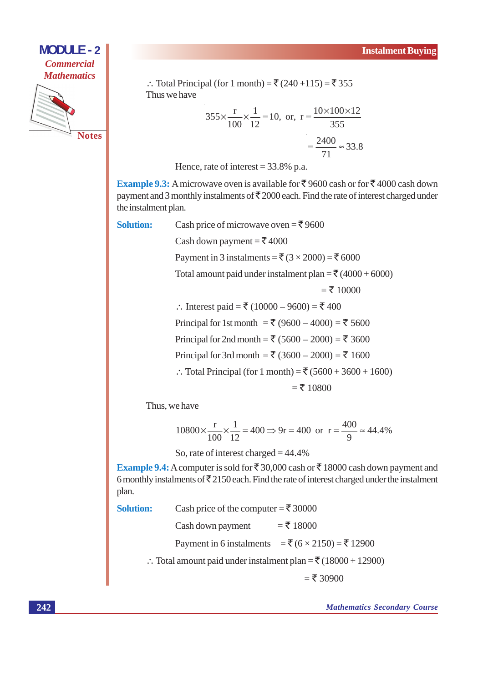

∴ Total Principal (for 1 month) =  $\bar{x}$  (240+115) =  $\bar{x}$  355 Thus we have

$$
355 \times \frac{\text{r}}{100} \times \frac{1}{12} = 10, \text{ or, } \text{r} = \frac{10 \times 100 \times 12}{355}
$$

$$
= \frac{2400}{71} \approx 33.8
$$

Hence, rate of interest =  $33.8\%$  p.a.

Cash price of microwave oven =  $\overline{\xi}$ 9600

**Example 9.3:** A microwave oven is available for ₹ 9600 cash or for ₹ 4000 cash down payment and 3 monthly instalments of  $\overline{\mathfrak{F}}$  2000 each. Find the rate of interest charged under the instalment plan.

**Solution:** 

Cash down payment =  $\overline{\xi}$  4000 Payment in 3 instalments =  $\bar{\xi}$  (3 × 2000) =  $\bar{\xi}$  6000 Total amount paid under instalment plan =  $\overline{(}4000 + 6000)$  $=\xi$  10000 ∴ Interest paid = ₹ (10000 – 9600) = ₹ 400 Principal for 1st month = ₹ (9600 – 4000) = ₹ 5600 Principal for 2nd month = ₹ (5600 – 2000) = ₹ 3600 Principal for 3rd month = ₹ (3600 – 2000) = ₹ 1600 ∴ Total Principal (for 1 month) = ₹  $(5600 + 3600 + 1600)$  $=$  ₹ 10800

Thus, we have

$$
10800 \times \frac{r}{100} \times \frac{1}{12} = 400 \Rightarrow 9r = 400 \text{ or } r = \frac{400}{9} \approx 44.4\%
$$

So, rate of interest charged =  $44.4\%$ 

**Example 9.4:** A computer is sold for  $\overline{\xi}$  30,000 cash or  $\overline{\xi}$  18000 cash down payment and 6 monthly instalments of  $\overline{\xi}$  2150 each. Find the rate of interest charged under the instalment plan.

| <b>Solution:</b> | Cash price of the computer = ₹ 30000                                              |  |
|------------------|-----------------------------------------------------------------------------------|--|
|                  | $=$ ₹ 18000<br>Cash down payment                                                  |  |
|                  | Payment in 6 instalments = $\bar{x}$ (6 × 2150) = $\bar{x}$ 12900                 |  |
|                  | :. Total amount paid under instalment plan = $\bar{\mathfrak{E}}$ (18000 + 12900) |  |

 $=$ ₹ 30900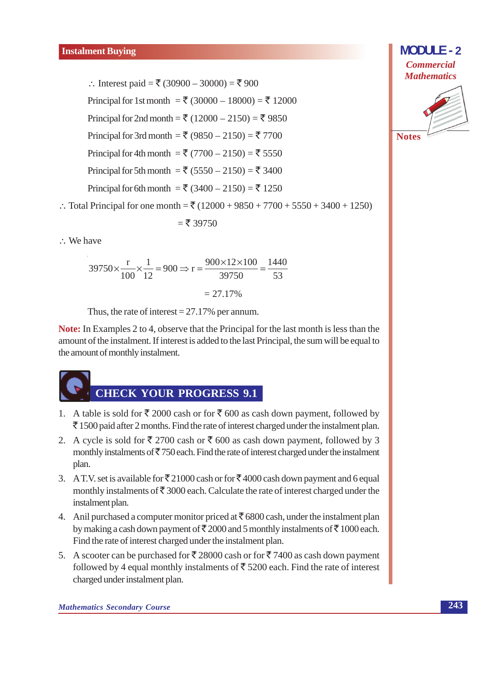∴ Interest paid = ₹ (30900 – 30000) = ₹ 900 Principal for 1st month = ₹ (30000 – 18000) = ₹ 12000 Principal for 2nd month = ₹ (12000 – 2150) = ₹ 9850 Principal for 3rd month = ₹ (9850 – 2150) = ₹ 7700 Principal for 4th month = ₹ (7700 – 2150) = ₹ 5550 Principal for 5th month = ₹ (5550 – 2150) = ₹ 3400 Principal for 6th month = ₹ (3400 – 2150) = ₹ 1250

∴ Total Principal for one month =  $\bar{x}$  (12000 + 9850 + 7700 + 5550 + 3400 + 1250)

$$
=
$$
  $\xi$  39750

 $\therefore$  We have

$$
39750 \times \frac{\text{r}}{100} \times \frac{1}{12} = 900 \Rightarrow \text{r} = \frac{900 \times 12 \times 100}{39750} = \frac{1440}{53}
$$

$$
= 27.17\%
$$

Thus, the rate of interest =  $27.17\%$  per annum.

**Note:** In Examples 2 to 4, observe that the Principal for the last month is less than the amount of the instalment. If interest is added to the last Principal, the sum will be equal to the amount of monthly instalment.



- 1. A table is sold for  $\bar{\xi}$  2000 cash or for  $\bar{\xi}$  600 as cash down payment, followed by  $\bar{\mathcal{F}}$  1500 paid after 2 months. Find the rate of interest charged under the instalment plan.
- 2. A cycle is sold for  $\overline{\xi}$  2700 cash or  $\overline{\xi}$  600 as cash down payment, followed by 3 monthly instalments of  $\overline{5}$  750 each. Find the rate of interest charged under the instalment plan.
- 3. A T.V. set is available for  $\overline{\xi}$  21000 cash or for  $\overline{\xi}$  4000 cash down payment and 6 equal monthly instalments of  $\bar{\mathfrak{F}}$  3000 each. Calculate the rate of interest charged under the instalment plan.
- 4. Anil purchased a computer monitor priced at  $\bar{\mathfrak{c}}$  6800 cash, under the instalment plan by making a cash down payment of  $\bar{\xi}$  2000 and 5 monthly instalments of  $\bar{\xi}$  1000 each. Find the rate of interest charged under the instalment plan.
- 5. A scooter can be purchased for ₹28000 cash or for ₹7400 as cash down payment followed by 4 equal monthly instalments of  $\bar{\tau}$  5200 each. Find the rate of interest charged under instalment plan.

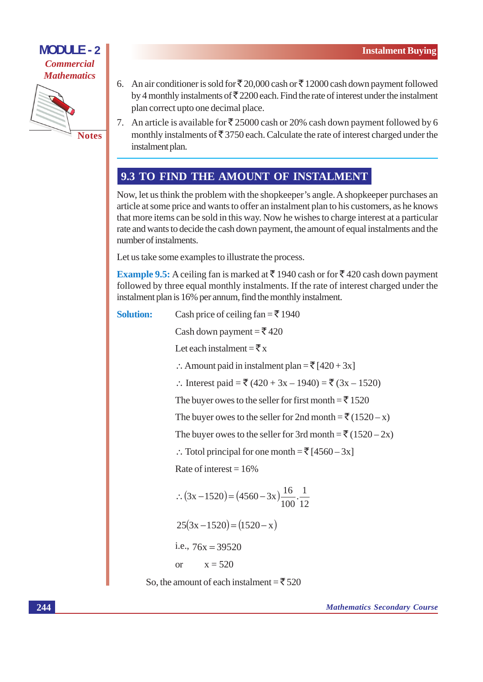

- 6. An air conditioner is sold for  $\overline{\xi}$  20,000 cash or  $\overline{\xi}$  12000 cash down payment followed by 4 monthly instalments of  $\bar{\mathfrak{F}}$  2200 each. Find the rate of interest under the instalment plan correct upto one decimal place.
- 7. An article is available for  $\overline{\xi}$  25000 cash or 20% cash down payment followed by 6 monthly instalments of  $\bar{\mathfrak{F}}$  3750 each. Calculate the rate of interest charged under the instalment plan.

#### 9.3 TO FIND THE AMOUNT OF INSTALMENT

Now, let us think the problem with the shopkeeper's angle. A shopkeeper purchases an article at some price and wants to offer an instalment plan to his customers, as he knows that more items can be sold in this way. Now he wishes to charge interest at a particular rate and wants to decide the cash down payment, the amount of equal instalments and the number of instalments.

Let us take some examples to illustrate the process.

**Example 9.5:** A ceiling fan is marked at  $\bar{\tau}$  1940 cash or for  $\bar{\tau}$  420 cash down payment followed by three equal monthly instalments. If the rate of interest charged under the instalment plan is 16% per annum, find the monthly instalment.

```
Solution:
      Cash price of ceiling fan = \t{5} 1940Cash down payment = \overline{\xi} 420
      Let each instalment = \bar{\bar{\tau}} x
      :. Amount paid in instalment plan = \overline{\xi} [420 + 3x]
      ∴ Interest paid = ₹ (420 + 3x – 1940) = ₹ (3x – 1520)
      The buyer owes to the seller for first month = \bar{x} 1520
      The buyer owes to the seller for 2nd month = \bar{\mathfrak{F}}(1520 - x)The buyer owes to the seller for 3rd month = \bar{z} (1520 – 2x)
      ∴ Totol principal for one month = \bar{z} [4560 – 3x]
      Rate of interest = 16\%\therefore (3x - 1520) = (4560 - 3x) \frac{16}{100} \cdot \frac{1}{12}25(3x-1520) = (1520-x)i.e., 76x = 39520x = 520\alphaSo, the amount of each instalment = \overline{5}520
```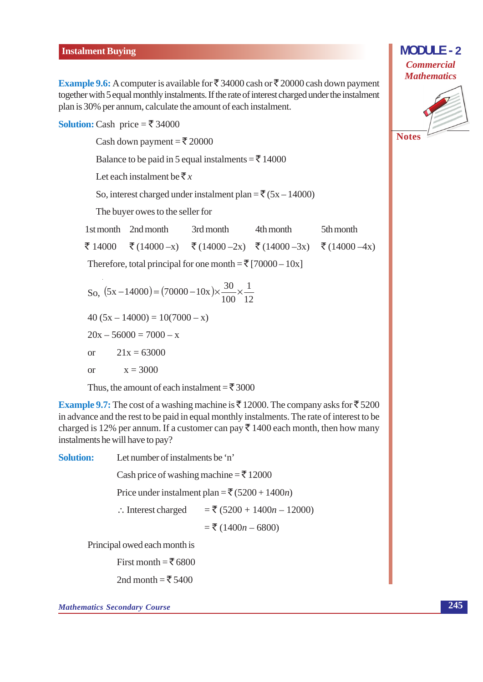#### **Instalment Buying**

**Example 9.6:** A computer is available for  $\overline{\xi}$  34000 cash or  $\overline{\xi}$  20000 cash down payment together with 5 equal monthly instalments. If the rate of interest charged under the instalment plan is 30% per annum, calculate the amount of each instalment.

**Solution:** Cash price =  $\overline{\xi}$  34000

Cash down payment =  $\overline{\xi}$  20000

Balance to be paid in 5 equal instalments =  $\bar{\bar{\xi}}$  14000

Let each instalment be  $\bar{\xi}_x$ 

So, interest charged under instalment plan =  $\overline{\xi}$  (5x - 14000)

The buyer owes to the seller for

1st month 2nd month 3rd month 4th month 5th month ₹ 14000 ₹ $(14000-x)$ ₹  $(14000 - 2x)$ ₹ $(14000 - 3x)$ ₹ $(14000 - 4x)$ 

Therefore, total principal for one month =  $\overline{\xi}$  [70000 – 10x]

So, 
$$
(5x - 14000) = (70000 - 10x) \times \frac{30}{100} \times \frac{1}{12}
$$
  
\n
$$
40 (5x - 14000) = 10(7000 - x)
$$
\n
$$
20x - 56000 = 7000 - x
$$
\nor 21x = 63000  
\nor x = 3000

Thus, the amount of each instalment =  $\bar{\mathfrak{F}}$  3000

**Example 9.7:** The cost of a washing machine is  $\bar{\xi}$  12000. The company asks for  $\bar{\xi}$  5200 in advance and the rest to be paid in equal monthly instalments. The rate of interest to be charged is 12% per annum. If a customer can pay  $\bar{\tau}$  1400 each month, then how many instalments he will have to pay?

Let number of instalments be 'n' **Solution:** Cash price of washing machine =  $\bar{\bar{\xi}}$  12000 Price under instalment plan =  $\overline{(}5200 + 1400n)$  $=\xi$  (5200 + 1400*n* – 12000)  $\therefore$  Interest charged  $=$  ₹ (1400*n* – 6800) Principal owed each month is First month =  $\overline{5}$  6800

2nd month = ₹ 5400

**Mathematics Secondary Course** 

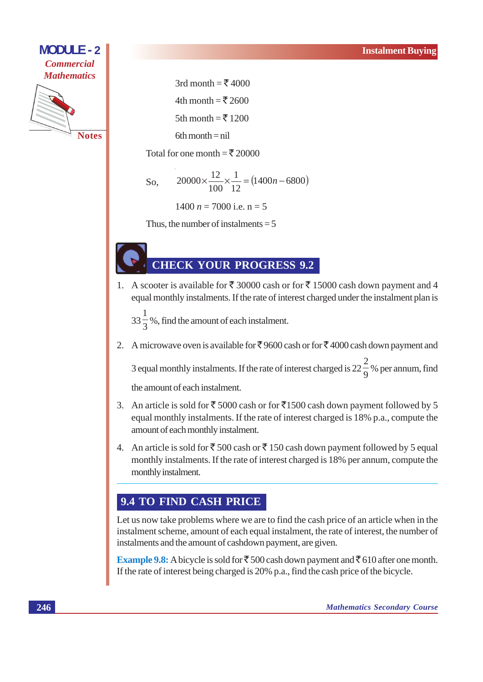

3rd month =  $\overline{5}$  4000

4th month = ₹2600

5th month = ₹1200

 $6th$  month = nil

Total for one month = ₹ 20000

So, 
$$
20000 \times \frac{12}{100} \times \frac{1}{12} = (1400n - 6800)
$$

 $1400 n = 7000$  i.e.  $n = 5$ 

Thus, the number of instalments  $= 5$ 

#### **CHECK YOUR PROGRESS 9.2**

1. A scooter is available for ₹ 30000 cash or for ₹ 15000 cash down payment and 4 equal monthly instalments. If the rate of interest charged under the instalment plan is

 $33\frac{1}{2}\%$ , find the amount of each instalment.

2. A microwave oven is available for ₹9600 cash or for ₹4000 cash down payment and

3 equal monthly instalments. If the rate of interest charged is  $22\frac{2}{9}$ % per annum, find the amount of each instalment.

- 3. An article is sold for ₹5000 cash or for ₹1500 cash down payment followed by 5 equal monthly instalments. If the rate of interest charged is 18% p.a., compute the amount of each monthly instalment.
- 4. An article is sold for  $\overline{\xi}$  500 cash or  $\overline{\xi}$  150 cash down payment followed by 5 equal monthly instalments. If the rate of interest charged is 18% per annum, compute the monthly instalment.

#### 9.4 TO FIND CASH PRICE

Let us now take problems where we are to find the cash price of an article when in the instalment scheme, amount of each equal instalment, the rate of interest, the number of instalments and the amount of cashdown payment, are given.

**Example 9.8:** A bicycle is sold for  $\bar{\mathcal{F}}$  500 cash down payment and  $\bar{\mathcal{F}}$  610 after one month. If the rate of interest being charged is 20% p.a., find the cash price of the bicycle.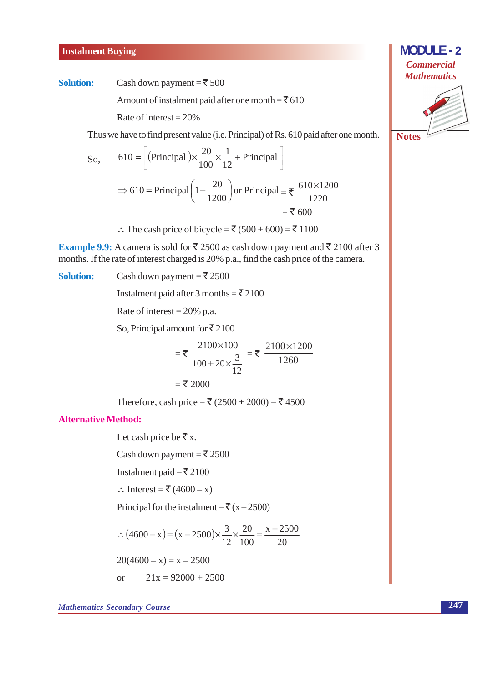#### **Instalment Buying**

#### **Solution:**

Cash down payment =  $\bar{\bar{\xi}}$  500

Amount of instalment paid after one month =  $\bar{5}610$ 

Rate of interest =  $20\%$ 

Thus we have to find present value (i.e. Principal) of Rs. 610 paid after one month.

So, 
$$
610 = \left[ \text{(Principal)} \times \frac{20}{100} \times \frac{1}{12} + \text{Principal} \right]
$$
  
\n $\Rightarrow 610 = \text{Principal} \left( 1 + \frac{20}{1200} \right) \text{ or Principal} = \frac{1}{200} = \frac{610 \times 1200}{1220} = \frac{1}{200} = \frac{1}{200} = \frac{1}{200} = \frac{1}{200} = \frac{1}{200} = \frac{1}{200} = \frac{1}{200} = \frac{1}{200} = \frac{1}{200} = \frac{1}{200} = \frac{1}{200} = \frac{1}{200} = \frac{1}{200} = \frac{1}{200} = \frac{1}{200} = \frac{1}{200} = \frac{1}{200} = \frac{1}{200} = \frac{1}{200} = \frac{1}{200} = \frac{1}{200} = \frac{1}{200} = \frac{1}{200} = \frac{1}{200} = \frac{1}{200} = \frac{1}{200} = \frac{1}{200} = \frac{1}{200} = \frac{1}{200} = \frac{1}{200} = \frac{1}{200} = \frac{1}{200} = \frac{1}{200} = \frac{1}{200} = \frac{1}{200} = \frac{1}{200} = \frac{1}{200} = \frac{1}{200} = \frac{1}{200} = \frac{1}{200} = \frac{1}{200} = \frac{1}{200} = \frac{1}{200} = \frac{1}{200} = \frac{1}{200} = \frac{1}{200} = \frac{1}{200} = \frac{1}{200} = \frac{1}{200} = \frac{1}{200} = \frac{1}{200} = \frac{1}{200} = \frac{1}{200} = \frac{1}{200} = \frac{1}{200} = \frac{1}{200} = \frac{1}{200} = \frac{1}{200} = \frac{1}{200} = \frac{1}{200} = \frac{1}{200} = \frac{1}{200} = \frac{1}{200} = \frac{1}{200} = \$ 

∴ The cash price of bicycle =  $\bar{x}$  (500 + 600) =  $\bar{x}$  1100

**Example 9.9:** A camera is sold for ₹ 2500 as cash down payment and ₹ 2100 after 3 months. If the rate of interest charged is 20% p.a., find the cash price of the camera.

**Solution:** Cash down payment =  $\overline{\xi}$  2500 Instalment paid after 3 months =  $\overline{\xi}$  2100 Rate of interest =  $20\%$  p.a. So, Principal amount for  $\bar{\mathfrak{r}}$  2100  $=\bar{\xi} \frac{2100\times100}{100+20\times\frac{3}{12}} = \bar{\xi} \frac{2100\times1200}{1260}$  $=$  ₹ 2000 Therefore, cash price = ₹ (2500 + 2000) = ₹ 4500 **Alternative Method:** 

Let cash price be  $\bar{\mathbf{\tau}}$  x.

Cash down payment =  $\overline{\xi}$  2500

Instalment paid =  $\overline{5}$  2100

∴ Interest =  $\overline{\xi}$  (4600 – x)

Principal for the instalment =  $\overline{\xi}(x-2500)$ 

$$
\therefore (4600 - x) = (x - 2500) \times \frac{3}{12} \times \frac{20}{100} = \frac{x - 2500}{20}
$$
  
20(4600 - x) = x - 2500

or 
$$
21x = 92000 + 2500
$$

 $\alpha$ 

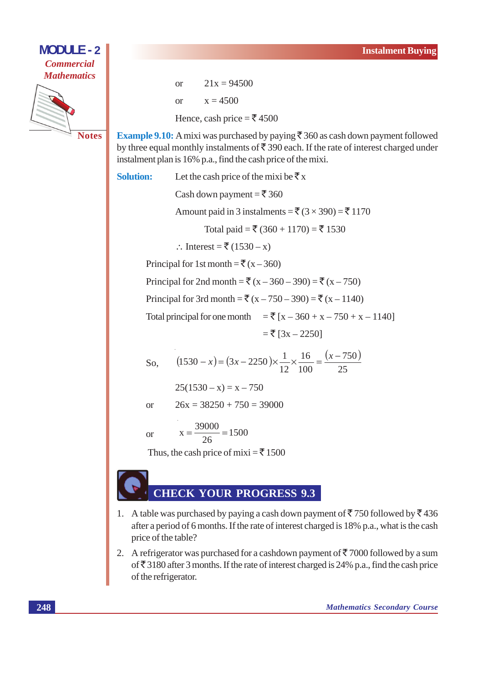

 $21x = 94500$  $\alpha$ <sup>r</sup>  $x = 4500$  $\alpha$ Hence, cash price =  $\overline{\xi}$  4500

**Example 9.10:** A mixi was purchased by paying  $\bar{\xi}$  360 as cash down payment followed by three equal monthly instalments of  $\bar{\xi}$  390 each. If the rate of interest charged under instalment plan is 16% p.a., find the cash price of the mixi.

**Solution:** 

Let the cash price of the mixi be  $\bar{x}$  x Cash down payment =  $\bar{\bar{\xi}}$  360 Amount paid in 3 instalments =  $\bar{\mathfrak{F}}(3 \times 390) = \bar{\mathfrak{F}} 1170$ Total paid = ₹ (360 + 1170) = ₹ 1530 ∴ Interest = ₹  $(1530 - x)$ Principal for 1st month =  $\overline{\xi}(x-360)$ Principal for 2nd month = ₹ (x – 360 – 390) = ₹ (x – 750) Principal for 3rd month = ₹  $(x - 750 - 390) = ₹ (x - 1140)$ Total principal for one month = ₹  $[x - 360 + x - 750 + x - 1140]$  $=\xi$  [3x - 2250]  $(1530 - x) = (3x - 2250) \times \frac{1}{12} \times \frac{16}{100} = \frac{(x - 750)}{25}$ So.  $25(1530 - x) = x - 750$  $26x = 38250 + 750 = 39000$  $\alpha$ <sup>r</sup>  $x = \frac{39000}{26} = 1500$ <sub>or</sub>

Thus, the cash price of mixi =  $\overline{5}$  1500

## **HECK YOUR PROGRESS 9.3**

- 1. A table was purchased by paying a cash down payment of  $\overline{5}$  750 followed by  $\overline{5}$  436 after a period of 6 months. If the rate of interest charged is 18% p.a., what is the cash price of the table?
- 2. A refrigerator was purchased for a cashdown payment of  $\overline{5}$  7000 followed by a sum of  $\overline{\xi}$  3180 after 3 months. If the rate of interest charged is 24% p.a., find the cash price of the refrigerator.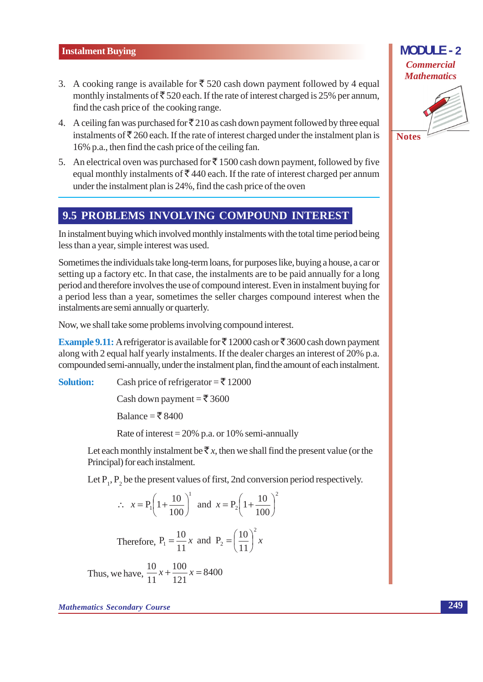- 3. A cooking range is available for  $\overline{\xi}$  520 cash down payment followed by 4 equal monthly instalments of  $\overline{\xi}$  520 each. If the rate of interest charged is 25% per annum, find the cash price of the cooking range.
- 4. A ceiling fan was purchased for  $\bar{\mathfrak{Z}}$  210 as cash down payment followed by three equal instalments of  $\bar{\mathcal{F}}$  260 each. If the rate of interest charged under the instalment plan is 16% p.a., then find the cash price of the ceiling fan.
- 5. An electrical oven was purchased for  $\bar{\tau}$  1500 cash down payment, followed by five equal monthly instalments of  $\bar{\xi}$  440 each. If the rate of interest charged per annum under the instalment plan is 24%, find the cash price of the oven

#### 9.5 PROBLEMS INVOLVING COMPOUND INTEREST

In instalment buying which involved monthly instalments with the total time period being less than a year, simple interest was used.

Sometimes the individuals take long-term loans, for purposes like, buying a house, a car or setting up a factory etc. In that case, the instalments are to be paid annually for a long period and therefore involves the use of compound interest. Even in instalment buying for a period less than a year, sometimes the seller charges compound interest when the instalments are semi annually or quarterly.

Now, we shall take some problems involving compound interest.

**Example 9.11:** A refrigerator is available for ₹12000 cash or ₹3600 cash down payment along with 2 equal half yearly instalments. If the dealer charges an interest of 20% p.a. compounded semi-annually, under the instalment plan, find the amount of each instalment.

Cash price of refrigerator =  $\overline{5}$  12000 **Solution:** 

Cash down payment =  $\overline{\xi}$  3600

Balance = ₹8400

Rate of interest =  $20\%$  p.a. or 10% semi-annually

Let each monthly instalment be  $\bar{\xi}x$ , then we shall find the present value (or the Principal) for each instalment.

Let  $P_1$ ,  $P_2$  be the present values of first, 2nd conversion period respectively.

$$
\therefore x = P_1 \left( 1 + \frac{10}{100} \right)^1 \text{ and } x = P_2 \left( 1 + \frac{10}{100} \right)^1
$$
  
Therefore,  $P_1 = \frac{10}{11} x$  and  $P_2 = \left( \frac{10}{11} \right)^2 x$   
we we have  $\frac{10}{11} x + \frac{100}{100} x = 8400$ 

Thus, we have,  $\frac{1}{11}x + \frac{1}{121}x = 8400$ 

#### **MODULE-2 Commercial Mathematics**



249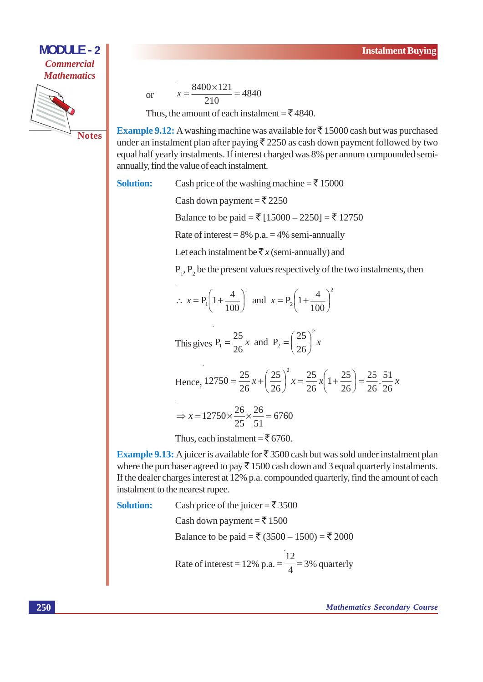

or 
$$
x = \frac{8400 \times 121}{210} = 4840
$$

Thus, the amount of each instalment =  $\bar{\xi}$  4840.

**Example 9.12:** A washing machine was available for  $\bar{\tau}$  15000 cash but was purchased under an instalment plan after paying  $\bar{\xi}$  2250 as cash down payment followed by two equal half yearly instalments. If interest charged was 8% per annum compounded semiannually, find the value of each instalment.

**Solution:** Cash price of the washing machine =  $\bar{\bar{\xi}}$  15000

Cash down payment =  $\overline{\xi}$  2250

Balance to be paid = ₹ [15000 - 2250] = ₹ 12750

Rate of interest =  $8\%$  p.a. =  $4\%$  semi-annually

Let each instalment be  $\bar{\bar{\mathcal{R}}} x$  (semi-annually) and

 $P_1$ ,  $P_2$  be the present values respectively of the two instalments, then

 $\therefore$   $x = P_1 \left( 1 + \frac{4}{100} \right)^1$  and  $x = P_2 \left( 1 + \frac{4}{100} \right)^2$ 

This gives  $P_1 = \frac{25}{26}x$  and  $P_2 = \left(\frac{25}{26}\right)^2 x$ 

Hence, 
$$
12750 = \frac{25}{26}x + \left(\frac{25}{26}\right)^2 x = \frac{25}{26}x \left(1 + \frac{25}{26}\right) = \frac{25}{26} \cdot \frac{51}{26}x
$$

$$
\Rightarrow x = 12750 \times \frac{26}{25} \times \frac{26}{51} = 6760
$$

Thus, each instalment =  $\overline{5}$  6760.

**Example 9.13:** A juicer is available for  $\bar{\tau}$  3500 cash but was sold under instalment plan where the purchaser agreed to pay  $\bar{\tau}$  1500 cash down and 3 equal quarterly instalments. If the dealer charges interest at 12% p.a. compounded quarterly, find the amount of each instalment to the nearest rupee.

**Solution:** 

Cash price of the juicer = ₹3500 Cash down payment =  $\overline{\xi}$  1500 Balance to be paid = ₹ (3500 – 1500) = ₹ 2000 Rate of interest = 12% p.a. =  $\frac{12}{4}$  = 3% quarterly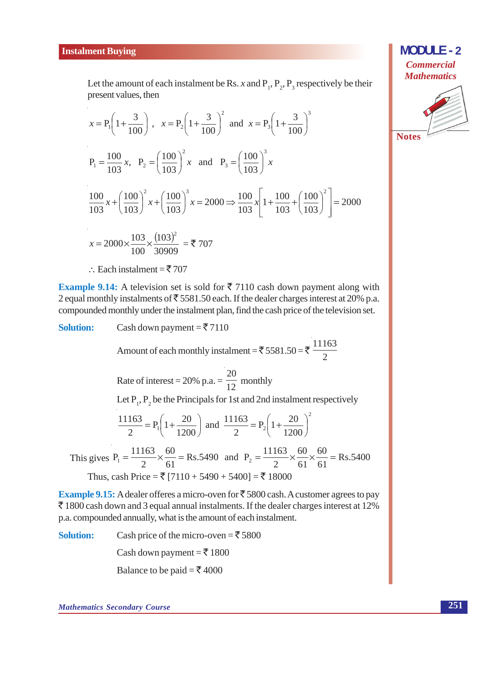

Let the amount of each instalment be Rs. x and P,  $P_2$ ,  $P_3$  respectively be their present values, then

$$
x = P_1 \left( 1 + \frac{3}{100} \right), \quad x = P_2 \left( 1 + \frac{3}{100} \right)^2 \text{ and } x = P_3 \left( 1 + \frac{3}{100} \right)^3
$$
  
\n
$$
P_1 = \frac{100}{103} x, \quad P_2 = \left( \frac{100}{103} \right)^2 x \text{ and } P_3 = \left( \frac{100}{103} \right)^3 x
$$
  
\n
$$
\frac{100}{103} x + \left( \frac{100}{103} \right)^2 x + \left( \frac{100}{103} \right)^3 x = 2000 \Rightarrow \frac{100}{103} x \left[ 1 + \frac{100}{103} + \left( \frac{100}{103} \right)^2 \right] = 2000
$$
  
\n
$$
x = 2000 \times \frac{103}{100} \times \frac{(103)^2}{30909} = \text{F } 707
$$

∴ Each instalment =  $\overline{5}$  707

**Example 9.14:** A television set is sold for  $\bar{\tau}$  7110 cash down payment along with 2 equal monthly instalments of  $\overline{5}$  5581.50 each. If the dealer charges interest at 20% p.a. compounded monthly under the instalment plan, find the cash price of the television set.

**Solution:** Cash down payment =  $\overline{5}$  7110 Amount of each monthly instalment = ₹ 5581.50 = ₹  $\frac{11163}{2}$ Rate of interest = 20% p.a. =  $\frac{20}{12}$  monthly Let  $P_1$ ,  $P_2$  be the Principals for 1st and 2nd instalment respectively  $rac{11163}{2}$  = P<sub>1</sub> $\left(1+\frac{20}{1200}\right)$  and  $\frac{11163}{2}$  = P<sub>2</sub> $\left(1+\frac{20}{1200}\right)^2$ This gives  $P_1 = \frac{11163}{2} \times \frac{60}{61} = Rs.5490$  and  $P_2 = \frac{11163}{2} \times \frac{60}{61} \times \frac{60}{61} = Rs.5400$ Thus, cash Price = ₹  $[7110 + 5490 + 5400] = ₹ 18000$ 

**Example 9.15:** A dealer offeres a micro-oven for  $\bar{\xi}$  5800 cash. A customer agrees to pay ₹1800 cash down and 3 equal annual instalments. If the dealer charges interest at 12% p.a. compounded annually, what is the amount of each instalment.

**Solution:** Cash price of the micro-oven = ₹5800 Cash down payment =  $\overline{5}$  1800 Balance to be paid = ₹ 4000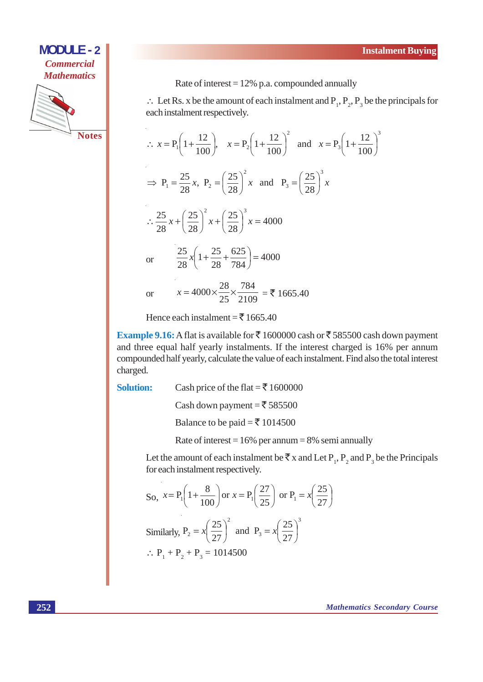

Rate of interest =  $12\%$  p.a. compounded annually

 $\therefore$  Let Rs. x be the amount of each instalment and P<sub>1</sub>, P<sub>2</sub>, P<sub>3</sub> be the principals for each instalment respectively.

$$
\therefore x = P_1 \left( 1 + \frac{12}{100} \right), \quad x = P_2 \left( 1 + \frac{12}{100} \right)^2 \text{ and } x = P_3 \left( 1 + \frac{12}{100} \right)^2
$$
  
\n
$$
\Rightarrow P_1 = \frac{25}{28} x, \quad P_2 = \left( \frac{25}{28} \right)^2 x \text{ and } P_3 = \left( \frac{25}{28} \right)^3 x
$$
  
\n
$$
\therefore \frac{25}{28} x + \left( \frac{25}{28} \right)^2 x + \left( \frac{25}{28} \right)^3 x = 4000
$$
  
\nor 
$$
\frac{25}{28} x \left( 1 + \frac{25}{28} + \frac{625}{784} \right) = 4000
$$
  
\nor 
$$
x = 4000 \times \frac{28}{25} \times \frac{784}{2109} = 1665.40
$$

Hence each instalment =  $\overline{5}$  1665.40

Example 9.16: A flat is available for ₹1600000 cash or ₹585500 cash down payment and three equal half yearly instalments. If the interest charged is 16% per annum compounded half yearly, calculate the value of each instalment. Find also the total interest charged.

**Solution:** 

Cash price of the flat =  $\overline{5}$  1600000

Cash down payment =  $\overline{5}$  585500

Balance to be paid =  $\overline{5}$  1014500

Rate of interest =  $16\%$  per annum = 8% semi annually

Let the amount of each instalment be  $\bar{\tau}$  x and Let P<sub>1</sub>, P<sub>2</sub> and P<sub>3</sub> be the Principals for each instalment respectively.

So, 
$$
x = P_1 \left( 1 + \frac{8}{100} \right)
$$
 or  $x = P_1 \left( \frac{27}{25} \right)$  or  $P_1 = x \left( \frac{25}{27} \right)$   
\nSimilarly,  $P_2 = x \left( \frac{25}{27} \right)^2$  and  $P_3 = x \left( \frac{25}{27} \right)^3$   
\n $\therefore P_1 + P_2 + P_3 = 1014500$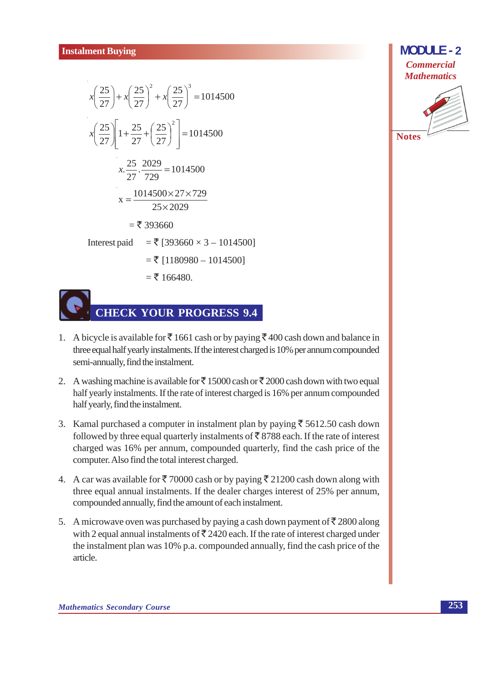$$
x\left(\frac{25}{27}\right) + x\left(\frac{25}{27}\right)^2 + x\left(\frac{25}{27}\right)^3 = 1014500
$$
  
\n
$$
x\left(\frac{25}{27}\right)\left[1 + \frac{25}{27} + \left(\frac{25}{27}\right)^2\right] = 1014500
$$
  
\n
$$
x \cdot \frac{25}{27} \cdot \frac{2029}{729} = 1014500
$$
  
\n
$$
x = \frac{1014500 \times 27 \times 729}{25 \times 2029}
$$
  
\n
$$
= ₹ 393660
$$
  
\nInterest paid = ₹ [393660 × 3 – 1014500]  
\n
$$
= ₹ [1180980 - 1014500]
$$
  
\n
$$
= ₹ 166480.
$$



# **CHECK YOUR PROGRESS 9.4**

- 1. A bicycle is available for  $\bar{\xi}$  1661 cash or by paying  $\bar{\xi}$  400 cash down and balance in three equal half yearly instalments. If the interest charged is 10% per annum compounded semi-annually, find the instalment.
- 2. A washing machine is available for  $\bar{\xi}$  15000 cash or  $\bar{\xi}$  2000 cash down with two equal half yearly instalments. If the rate of interest charged is 16% per annum compounded half yearly, find the instalment.
- 3. Kamal purchased a computer in instalment plan by paying  $\overline{\xi}$  5612.50 cash down followed by three equal quarterly instalments of  $\overline{5}$  8788 each. If the rate of interest charged was 16% per annum, compounded quarterly, find the cash price of the computer. Also find the total interest charged.
- 4. A car was available for  $\overline{\xi}$  70000 cash or by paying  $\overline{\xi}$  21200 cash down along with three equal annual instalments. If the dealer charges interest of 25% per annum, compounded annually, find the amount of each instalment.
- 5. A microwave oven was purchased by paying a cash down payment of  $\bar{\mathcal{F}}$  2800 along with 2 equal annual instalments of  $\bar{\bar{\xi}}$  2420 each. If the rate of interest charged under the instalment plan was 10% p.a. compounded annually, find the cash price of the article.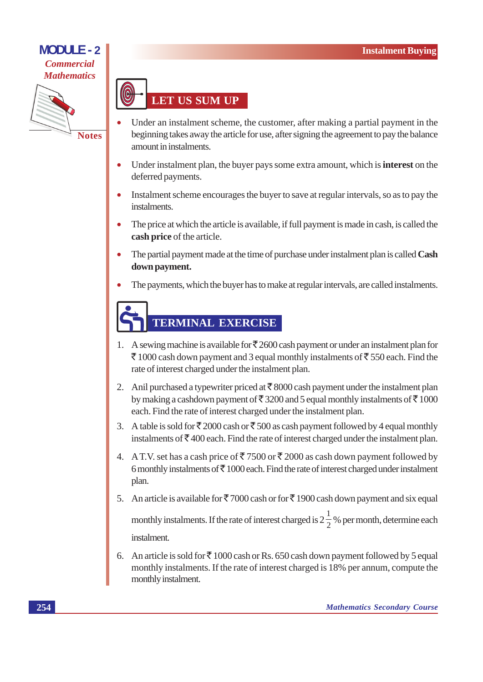

**LET US SUM UP** 

- Under an instalment scheme, the customer, after making a partial payment in the beginning takes away the article for use, after signing the agreement to pay the balance amount in instalments.
- Under instalment plan, the buyer pays some extra amount, which is **interest** on the deferred payments.
- Instalment scheme encourages the buyer to save at regular intervals, so as to pay the instalments.
- The price at which the article is available, if full payment is made in cash, is called the cash price of the article.
- The partial payment made at the time of purchase under instalment plan is called **Cash** down payment.
- The payments, which the buyer has to make at regular intervals, are called instalments.

## **TERMINAL EXERCISE**

- 1. A sewing machine is available for  $\overline{5}2600$  cash payment or under an instalment plan for ₹ 1000 cash down payment and 3 equal monthly instalments of ₹ 550 each. Find the rate of interest charged under the instalment plan.
- 2. Anil purchased a typewriter priced at  $\bar{\tau}$  8000 cash payment under the instalment plan by making a cashdown payment of  $\bar{\mathfrak{F}}$  3200 and 5 equal monthly instalments of  $\bar{\mathfrak{F}}$  1000 each. Find the rate of interest charged under the instalment plan.
- 3. A table is sold for ₹2000 cash or ₹500 as cash payment followed by 4 equal monthly instalments of  $\bar{\mathcal{F}}$  400 each. Find the rate of interest charged under the instalment plan.
- 4. A T.V. set has a cash price of  $\overline{5}$  7500 or  $\overline{5}$  2000 as cash down payment followed by 6 monthly instalments of  $\bar{\tau}$  1000 each. Find the rate of interest charged under instalment plan.
- 5. An article is available for  $\bar{\xi}$  7000 cash or for  $\bar{\xi}$  1900 cash down payment and six equal monthly instalments. If the rate of interest charged is  $2\frac{1}{2}$ % per month, determine each instalment
- 6. An article is sold for  $\overline{\xi}$  1000 cash or Rs. 650 cash down payment followed by 5 equal monthly instalments. If the rate of interest charged is 18% per annum, compute the monthly instalment.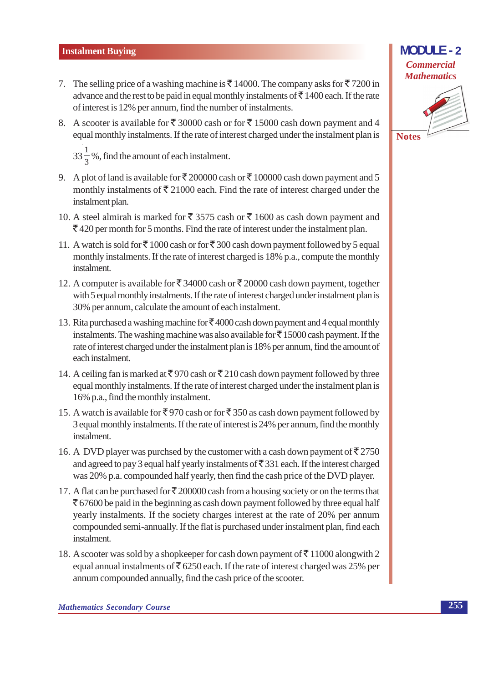- 7. The selling price of a washing machine is  $\bar{\xi}$  14000. The company asks for  $\bar{\xi}$  7200 in advance and the rest to be paid in equal monthly instalments of  $\bar{\tau}$  1400 each. If the rate of interest is 12% per annum, find the number of instalments.
- 8. A scooter is available for ₹ 30000 cash or for ₹ 15000 cash down payment and 4 equal monthly instalments. If the rate of interest charged under the instalment plan is

 $33\frac{1}{2}\%$ , find the amount of each instalment.

- 9. A plot of land is available for  $\overline{\xi}$  200000 cash or  $\overline{\xi}$  100000 cash down payment and 5 monthly instalments of  $\bar{\xi}$  21000 each. Find the rate of interest charged under the instalment plan.
- 10. A steel almirah is marked for ₹ 3575 cash or ₹ 1600 as cash down payment and  $\overline{\xi}$  420 per month for 5 months. Find the rate of interest under the instalment plan.
- 11. A watch is sold for ₹1000 cash or for ₹300 cash down payment followed by 5 equal monthly instalments. If the rate of interest charged is 18% p.a., compute the monthly instalment.
- 12. A computer is available for ₹ 34000 cash or ₹ 20000 cash down payment, together with 5 equal monthly instalments. If the rate of interest charged under instalment plan is 30% per annum, calculate the amount of each instalment.
- 13. Rita purchased a washing machine for  $\bar{\mathfrak{F}}$  4000 cash down payment and 4 equal monthly instalments. The washing machine was also available for  $\overline{\xi}$  15000 cash payment. If the rate of interest charged under the instalment plan is 18% per annum, find the amount of each instalment.
- 14. A ceiling fan is marked at  $\overline{\xi}$  970 cash or  $\overline{\xi}$  210 cash down payment followed by three equal monthly instalments. If the rate of interest charged under the instalment plan is 16% p.a., find the monthly instalment.
- 15. A watch is available for ₹970 cash or for ₹350 as cash down payment followed by 3 equal monthly instalments. If the rate of interest is 24% per annum, find the monthly instalment.
- 16. A DVD player was purchsed by the customer with a cash down payment of  $\overline{5}2750$ and agreed to pay 3 equal half yearly instalments of  $\overline{\xi}$  331 each. If the interest charged was 20% p.a. compounded half yearly, then find the cash price of the DVD player.
- 17. A flat can be purchased for  $\bar{\tau}$  200000 cash from a housing society or on the terms that  $\bar{\mathcal{F}}$  67600 be paid in the beginning as cash down payment followed by three equal half yearly instalments. If the society charges interest at the rate of 20% per annum compounded semi-annually. If the flat is purchased under instalment plan, find each instalment.
- 18. A scooter was sold by a shopkeeper for cash down payment of  $\bar{\mathcal{F}}$  11000 alongwith 2 equal annual instalments of  $\overline{5}$  6250 each. If the rate of interest charged was 25% per annum compounded annually, find the cash price of the scooter.

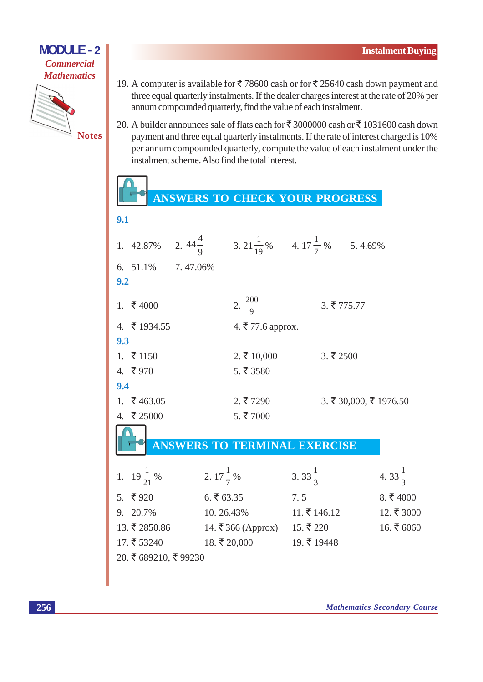

 $\overline{0}$  1

- 19. A computer is available for ₹78600 cash or for ₹25640 cash down payment and three equal quarterly instalments. If the dealer charges interest at the rate of 20% per annum compounded quarterly, find the value of each instalment.
- 20. A builder announces sale of flats each for ₹ 3000000 cash or ₹ 1031600 cash down payment and three equal quarterly instalments. If the rate of interest charged is 10% per annum compounded quarterly, compute the value of each instalment under the instalment scheme. Also find the total interest.

### ANSWERS TO CHECK YOUR PROGRESS

|     | 1. 42.87%                 | 2. $44\frac{4}{9}$ 3. $21\frac{1}{19}\%$ 4. $17\frac{1}{7}\%$ 5. 4.69% |                            |                          |                      |                        |
|-----|---------------------------|------------------------------------------------------------------------|----------------------------|--------------------------|----------------------|------------------------|
|     | 6. 51.1% 7.47.06%         |                                                                        |                            |                          |                      |                        |
| 9.2 |                           |                                                                        |                            |                          |                      |                        |
|     | 1. $\overline{\xi}$ 4000  |                                                                        | 2. $\frac{200}{9}$         |                          | 3.5775.77            |                        |
|     | 4. ₹ 1934.55              |                                                                        | 4. ₹77.6 approx.           |                          |                      |                        |
| 9.3 |                           |                                                                        |                            |                          |                      |                        |
|     | 1. $\overline{5}$ 1150    |                                                                        | $2.\overline{5}$ 10,000    |                          | $3.\overline{5}2500$ |                        |
|     | 4. $\bar{\bar{\xi}}$ 970  |                                                                        | 5.53580                    |                          |                      |                        |
| 9.4 |                           |                                                                        |                            |                          |                      |                        |
|     | 1. $\overline{5}$ 463.05  |                                                                        | $2.\overline{5}7290$       |                          |                      | 3. ₹ 30,000, ₹ 1976.50 |
|     | 4. $\bar{\tau}$ 25000     |                                                                        | 5.57000                    |                          |                      |                        |
|     |                           |                                                                        |                            |                          |                      |                        |
|     |                           | <b>ANSWERS TO TERMINAL EXERCISE</b>                                    |                            |                          |                      |                        |
|     |                           |                                                                        |                            |                          |                      |                        |
|     | 1. $19\frac{1}{21}\%$     | 2. $17\frac{1}{7}$ %                                                   |                            | 3. 33 $\frac{1}{3}$      |                      | 4. $33\frac{1}{3}$     |
|     | 5. $\overline{5}920$      | 6.563.35                                                               |                            | 7.5                      |                      | 8. $\bar{\tau}$ 4000   |
|     | 9. 20.7%                  | 10.26.43%                                                              |                            | $11.\overline{5}$ 146.12 |                      | $12.\xi\ 3000$         |
|     | $13.\overline{5}$ 2850.86 |                                                                        | 14. ₹366 (Approx) 15. ₹220 |                          |                      | $16.$ ₹ 6060           |
|     | $17.\overline{5}53240$    | $18.\xi\ 20,000$                                                       |                            | 19. $\bar{\tau}$ 19448   |                      |                        |
|     | 20. ₹ 689210, ₹ 99230     |                                                                        |                            |                          |                      |                        |
|     |                           |                                                                        |                            |                          |                      |                        |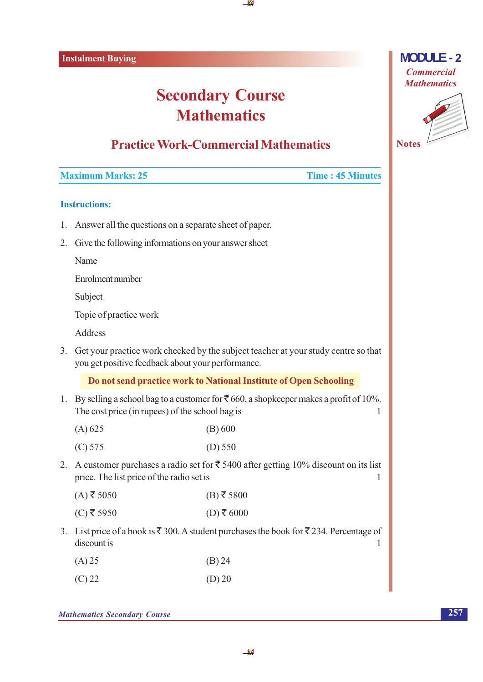## **Secondary Course Mathematics**

#### **Practice Work-Commercial Mathematics**

#### **Maximum Marks: 25**

#### **Time: 45 Minutes**

#### **Instructions:**

- 1. Answer all the questions on a separate sheet of paper.
- 2. Give the following informations on your answer sheet

Name

Enrolment number

Subject

Topic of practice work

Address

3. Get your practice work checked by the subject teacher at your study centre so that you get positive feedback about your performance.

Do not send practice work to National Institute of Open Schooling

1. By selling a school bag to a customer for  $\bar{\mathfrak{c}}$  660, a shopkeeper makes a profit of 10%. The cost price (in rupees) of the school bag is  $\mathbf{1}$ 

| (A) 625 | (B) 600   |
|---------|-----------|
| (C) 575 | $(D)$ 550 |

2. A customer purchases a radio set for  $\overline{\xi}$  5400 after getting 10% discount on its list price. The list price of the radio set is  $\mathbf{1}$ 

| $(A)$ ₹ 5050 | $(B)$ ₹5800 |
|--------------|-------------|
|--------------|-------------|

- $(D)$ ₹6000 (C) ₹ 5950
- 3. List price of a book is  $\overline{\xi}$  300. A student purchases the book for  $\overline{\xi}$  234. Percentage of discount is  $\mathbf{1}$

| $(A)$ 25 | (B) 24 |
|----------|--------|
|          |        |

 $(D)$  20  $(C)$  22